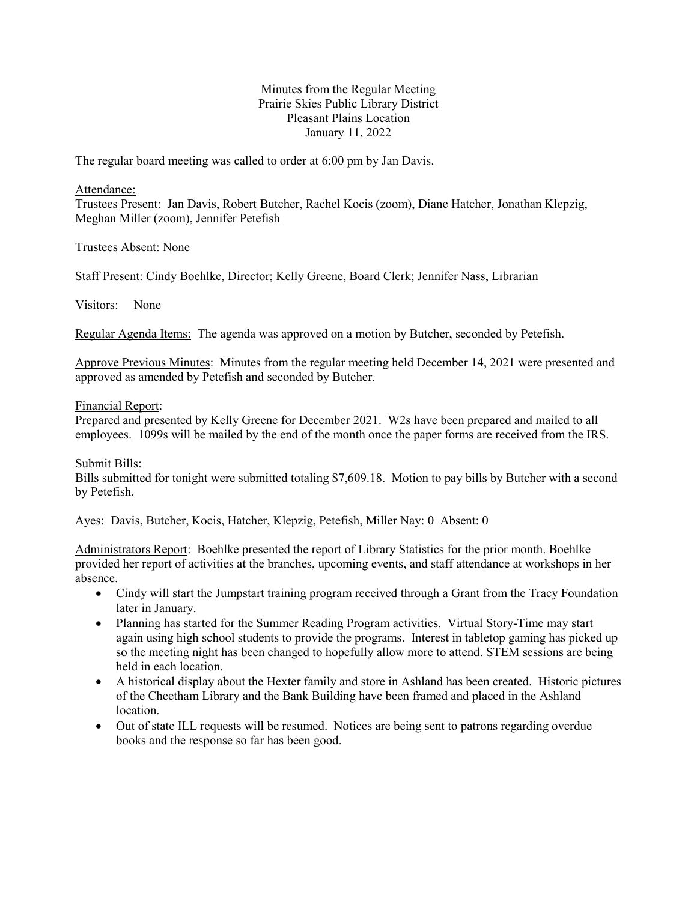# Minutes from the Regular Meeting Prairie Skies Public Library District Pleasant Plains Location January 11, 2022

The regular board meeting was called to order at 6:00 pm by Jan Davis.

### Attendance:

Trustees Present: Jan Davis, Robert Butcher, Rachel Kocis (zoom), Diane Hatcher, Jonathan Klepzig, Meghan Miller (zoom), Jennifer Petefish

Trustees Absent: None

Staff Present: Cindy Boehlke, Director; Kelly Greene, Board Clerk; Jennifer Nass, Librarian

Visitors: None

Regular Agenda Items: The agenda was approved on a motion by Butcher, seconded by Petefish.

Approve Previous Minutes: Minutes from the regular meeting held December 14, 2021 were presented and approved as amended by Petefish and seconded by Butcher.

## Financial Report:

Prepared and presented by Kelly Greene for December 2021. W2s have been prepared and mailed to all employees. 1099s will be mailed by the end of the month once the paper forms are received from the IRS.

## Submit Bills:

Bills submitted for tonight were submitted totaling \$7,609.18. Motion to pay bills by Butcher with a second by Petefish.

Ayes: Davis, Butcher, Kocis, Hatcher, Klepzig, Petefish, Miller Nay: 0 Absent: 0

Administrators Report: Boehlke presented the report of Library Statistics for the prior month. Boehlke provided her report of activities at the branches, upcoming events, and staff attendance at workshops in her absence.

- Cindy will start the Jumpstart training program received through a Grant from the Tracy Foundation later in January.
- Planning has started for the Summer Reading Program activities. Virtual Story-Time may start again using high school students to provide the programs. Interest in tabletop gaming has picked up so the meeting night has been changed to hopefully allow more to attend. STEM sessions are being held in each location.
- A historical display about the Hexter family and store in Ashland has been created. Historic pictures of the Cheetham Library and the Bank Building have been framed and placed in the Ashland location.
- Out of state ILL requests will be resumed. Notices are being sent to patrons regarding overdue books and the response so far has been good.